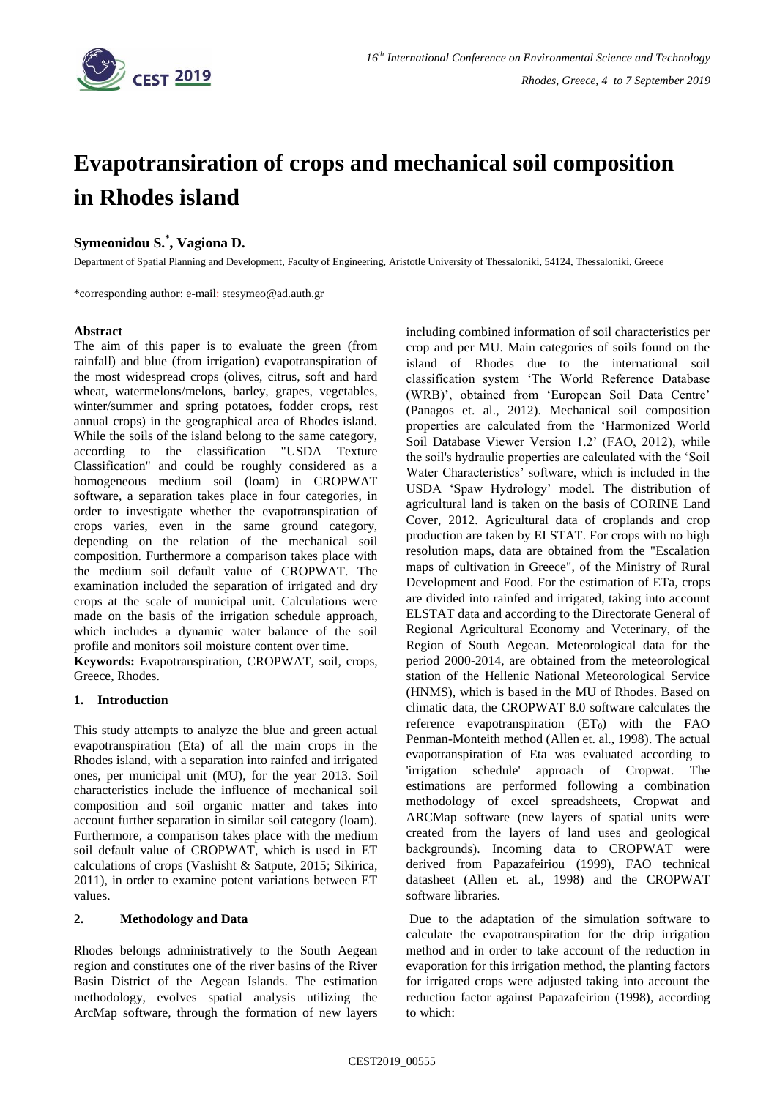

# **Evapotransiration of crops and mechanical soil composition in Rhodes island**

# **Symeonidou S.\* , Vagiona D.**

Department of Spatial Planning and Development, Faculty of Engineering, Aristotle University of Thessaloniki, 54124, Thessaloniki, Greece

\*corresponding author: e-mail: stesymeo@ad.auth.gr

### **Abstract**

The aim of this paper is to evaluate the green (from rainfall) and blue (from irrigation) evapotranspiration of the most widespread crops (olives, citrus, soft and hard wheat, watermelons/melons, barley, grapes, vegetables, winter/summer and spring potatoes, fodder crops, rest annual crops) in the geographical area of Rhodes island. While the soils of the island belong to the same category, according to the classification "USDA Texture Classification" and could be roughly considered as a homogeneous medium soil (loam) in CROPWAT software, a separation takes place in four categories, in order to investigate whether the evapotranspiration of crops varies, even in the same ground category, depending on the relation of the mechanical soil composition. Furthermore a comparison takes place with the medium soil default value of CROPWAT. The examination included the separation of irrigated and dry crops at the scale of municipal unit. Calculations were made on the basis of the irrigation schedule approach, which includes a dynamic water balance of the soil profile and monitors soil moisture content over time.

**Keywords:** Evapotranspiration, CROPWAT, soil, crops, Greece, Rhodes.

## **1. Introduction**

This study attempts to analyze the blue and green actual evapotranspiration (Eta) of all the main crops in the Rhodes island, with a separation into rainfed and irrigated ones, per municipal unit (MU), for the year 2013. Soil characteristics include the influence of mechanical soil composition and soil organic matter and takes into account further separation in similar soil category (loam). Furthermore, a comparison takes place with the medium soil default value of CROPWAT, which is used in ET calculations of crops (Vashisht & Satpute, 2015; Sikirica, 2011), in order to examine potent variations between ET values.

## **2. Methodology and Data**

Rhodes belongs administratively to the South Aegean region and constitutes one of the river basins of the River Basin District of the Aegean Islands. The estimation methodology, evolves spatial analysis utilizing the ArcMap software, through the formation of new layers including combined information of soil characteristics per crop and per MU. Main categories of soils found on the island of Rhodes due to the international soil classification system 'The World Reference Database (WRB)', obtained from 'European Soil Data Centre' (Panagos et. al., 2012). Mechanical soil composition properties are calculated from the 'Harmonized World Soil Database Viewer Version 1.2' (FAO, 2012), while the soil's hydraulic properties are calculated with the 'Soil Water Characteristics' software, which is included in the USDA 'Spaw Hydrology' model. The distribution of agricultural land is taken on the basis of CORINE Land Cover, 2012. Agricultural data of croplands and crop production are taken by ELSTAT. For crops with no high resolution maps, data are obtained from the "Escalation maps of cultivation in Greece", of the Ministry of Rural Development and Food. For the estimation of ETa, crops are divided into rainfed and irrigated, taking into account ELSTAT data and according to the Directorate General of Regional Agricultural Economy and Veterinary, of the Region of South Aegean. Meteorological data for the period 2000-2014, are obtained from the meteorological station of the Hellenic National Meteorological Service (HNMS), which is based in the MU of Rhodes. Based on climatic data, the CROPWAT 8.0 software calculates the reference evapotranspiration  $(ET_0)$  with the FAO Penman-Monteith method (Allen et. al., 1998). The actual evapotranspiration of Eta was evaluated according to 'irrigation schedule' approach of Cropwat. The estimations are performed following a combination methodology of excel spreadsheets, Cropwat and ARCMap software (new layers of spatial units were created from the layers of land uses and geological backgrounds). Incoming data to CROPWAT were derived from Papazafeiriou (1999), FAO technical datasheet (Allen et. al., 1998) and the CROPWAT software libraries.

Due to the adaptation of the simulation software to calculate the evapotranspiration for the drip irrigation method and in order to take account of the reduction in evaporation for this irrigation method, the planting factors for irrigated crops were adjusted taking into account the reduction factor against Papazafeiriou (1998), according to which: